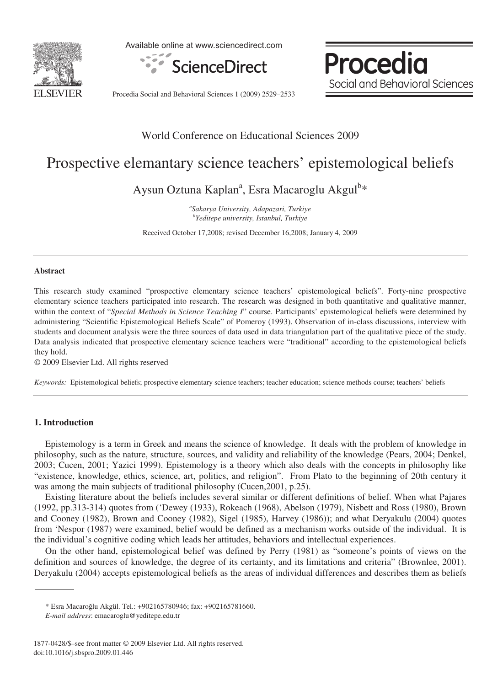

Available online at www.sciencedirect.com



Procedia Social and Behavioral Sciences

Procedia Social and Behavioral Sciences 1 (2009) 2529–2533

# World Conference on Educational Sciences 2009

# Prospective elemantary science teachers' epistemological beliefs

Aysun Oztuna Kaplan<sup>a</sup>, Esra Macaroglu Akgul<sup>b</sup>\*

*a Sakarya University, Adapazari, Turkiye b Yeditepe university, Istanbul, Turkiye* 

Received October 17,2008; revised December 16,2008; January 4, 2009

#### **Abstract**

This research study examined "prospective elementary science teachers' epistemological beliefs". Forty-nine prospective elementary science teachers participated into research. The research was designed in both quantitative and qualitative manner, within the context of "*Special Methods in Science Teaching I*" course. Participants' epistemological beliefs were determined by administering "Scientific Epistemological Beliefs Scale" of Pomeroy (1993). Observation of in-class discussions, interview with students and document analysis were the three sources of data used in data triangulation part of the qualitative piece of the study. Data analysis indicated that prospective elementary science teachers were "traditional" according to the epistemological beliefs they hold.

© 2009 Elsevier Ltd. All rights reserved

*Keywords:*Epistemological beliefs; prospective elementary science teachers; teacher education; science methods course; teachers' beliefs

## **1. Introduction**

Epistemology is a term in Greek and means the science of knowledge. It deals with the problem of knowledge in philosophy, such as the nature, structure, sources, and validity and reliability of the knowledge (Pears, 2004; Denkel, 2003; Cucen, 2001; Yazici 1999). Epistemology is a theory which also deals with the concepts in philosophy like "existence, knowledge, ethics, science, art, politics, and religion". From Plato to the beginning of 20th century it was among the main subjects of traditional philosophy (Cucen,2001, p.25).

Existing literature about the beliefs includes several similar or different definitions of belief. When what Pajares (1992, pp.313-314) quotes from ('Dewey (1933), Rokeach (1968), Abelson (1979), Nisbett and Ross (1980), Brown and Cooney (1982), Brown and Cooney (1982), Sigel (1985), Harvey (1986)); and what Deryakulu (2004) quotes from 'Nespor (1987) were examined, belief would be defined as a mechanism works outside of the individual. It is the individual's cognitive coding which leads her attitudes, behaviors and intellectual experiences.

On the other hand, epistemological belief was defined by Perry (1981) as "someone's points of views on the definition and sources of knowledge, the degree of its certainty, and its limitations and criteria" (Brownlee, 2001). Deryakulu (2004) accepts epistemological beliefs as the areas of individual differences and describes them as beliefs

<sup>\*</sup> Esra Macaro÷lu Akgül. Tel.: +902165780946; fax: +902165781660.

*E-mail address*: emacaroglu@yeditepe.edu.tr

<sup>1877-0428/\$–</sup>see front matter © 2009 Elsevier Ltd. All rights reserved. doi:10.1016/j.sbspro.2009.01.446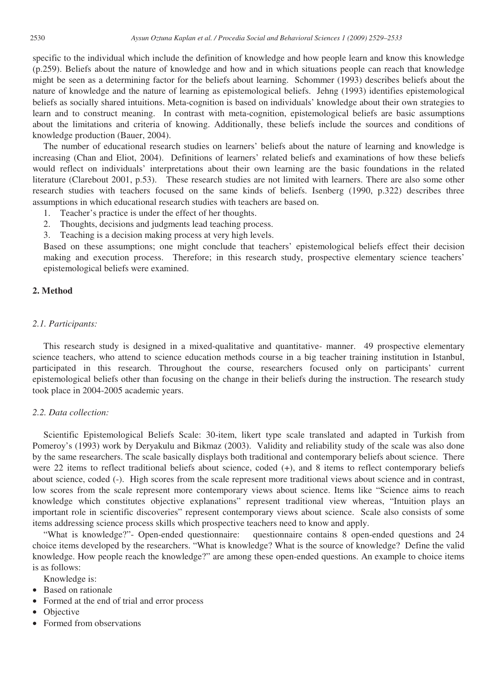specific to the individual which include the definition of knowledge and how people learn and know this knowledge (p.259). Beliefs about the nature of knowledge and how and in which situations people can reach that knowledge might be seen as a determining factor for the beliefs about learning. Schommer (1993) describes beliefs about the nature of knowledge and the nature of learning as epistemological beliefs. Jehng (1993) identifies epistemological beliefs as socially shared intuitions. Meta-cognition is based on individuals' knowledge about their own strategies to learn and to construct meaning. In contrast with meta-cognition, epistemological beliefs are basic assumptions about the limitations and criteria of knowing. Additionally, these beliefs include the sources and conditions of knowledge production (Bauer, 2004).

The number of educational research studies on learners' beliefs about the nature of learning and knowledge is increasing (Chan and Eliot, 2004). Definitions of learners' related beliefs and examinations of how these beliefs would reflect on individuals' interpretations about their own learning are the basic foundations in the related literature (Clarebout 2001, p.53). These research studies are not limited with learners. There are also some other research studies with teachers focused on the same kinds of beliefs. Isenberg (1990, p.322) describes three assumptions in which educational research studies with teachers are based on.

- 1. Teacher's practice is under the effect of her thoughts.
- 2. Thoughts, decisions and judgments lead teaching process.
- 3. Teaching is a decision making process at very high levels.

Based on these assumptions; one might conclude that teachers' epistemological beliefs effect their decision making and execution process. Therefore; in this research study, prospective elementary science teachers' epistemological beliefs were examined.

# **2. Method**

# *2.1. Participants:*

This research study is designed in a mixed-qualitative and quantitative- manner. 49 prospective elementary science teachers, who attend to science education methods course in a big teacher training institution in Istanbul, participated in this research. Throughout the course, researchers focused only on participants' current epistemological beliefs other than focusing on the change in their beliefs during the instruction. The research study took place in 2004-2005 academic years.

# *2.2. Data collection:*

Scientific Epistemological Beliefs Scale: 30-item, likert type scale translated and adapted in Turkish from Pomeroy's (1993) work by Deryakulu and Bikmaz (2003). Validity and reliability study of the scale was also done by the same researchers. The scale basically displays both traditional and contemporary beliefs about science. There were 22 items to reflect traditional beliefs about science, coded (+), and 8 items to reflect contemporary beliefs about science, coded (-). High scores from the scale represent more traditional views about science and in contrast, low scores from the scale represent more contemporary views about science. Items like "Science aims to reach knowledge which constitutes objective explanations" represent traditional view whereas, "Intuition plays an important role in scientific discoveries" represent contemporary views about science. Scale also consists of some items addressing science process skills which prospective teachers need to know and apply.

"What is knowledge?"- Open-ended questionnaire: questionnaire contains 8 open-ended questions and 24 choice items developed by the researchers. "What is knowledge? What is the source of knowledge? Define the valid knowledge. How people reach the knowledge?" are among these open-ended questions. An example to choice items is as follows:

Knowledge is:

- Based on rationale
- Formed at the end of trial and error process
- Objective
- Formed from observations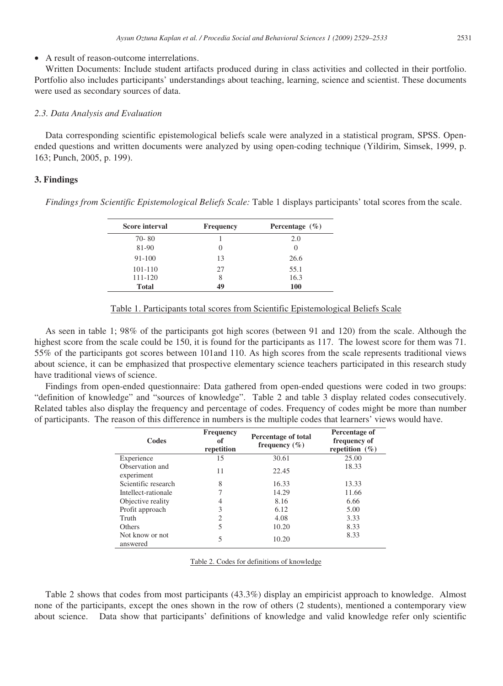# • A result of reason-outcome interrelations.

Written Documents: Include student artifacts produced during in class activities and collected in their portfolio. Portfolio also includes participants' understandings about teaching, learning, science and scientist. These documents were used as secondary sources of data.

#### *2.3. Data Analysis and Evaluation*

Data corresponding scientific epistemological beliefs scale were analyzed in a statistical program, SPSS. Openended questions and written documents were analyzed by using open-coding technique (Yildirim, Simsek, 1999, p. 163; Punch, 2005, p. 199).

#### **3. Findings**

*Findings from Scientific Epistemological Beliefs Scale:* Table 1 displays participants' total scores from the scale.

| <b>Score interval</b> | <b>Frequency</b> | Percentage $(\% )$ |
|-----------------------|------------------|--------------------|
| $70 - 80$             |                  | 2.0                |
| 81-90                 |                  |                    |
| 91-100                | 13               | 26.6               |
| 101-110               | 27               | 55.1               |
| 111-120               | 8                | 16.3               |
| <b>Total</b>          | 49               | 100                |

# Table 1. Participants total scores from Scientific Epistemological Beliefs Scale

As seen in table 1; 98% of the participants got high scores (between 91 and 120) from the scale. Although the highest score from the scale could be 150, it is found for the participants as 117. The lowest score for them was 71. 55% of the participants got scores between 101and 110. As high scores from the scale represents traditional views about science, it can be emphasized that prospective elementary science teachers participated in this research study have traditional views of science.

Findings from open-ended questionnaire: Data gathered from open-ended questions were coded in two groups: "definition of knowledge" and "sources of knowledge". Table 2 and table 3 display related codes consecutively. Related tables also display the frequency and percentage of codes. Frequency of codes might be more than number of participants. The reason of this difference in numbers is the multiple codes that learners' views would have.

| Codes                         | <b>Frequency</b><br>оf<br>repetition | Percentage of total<br>frequency $(\% )$ | Percentage of<br>frequency of<br>repetition $(\%)$ |
|-------------------------------|--------------------------------------|------------------------------------------|----------------------------------------------------|
| Experience                    | 15                                   | 30.61                                    | 25.00                                              |
| Observation and<br>experiment | 11                                   | 22.45                                    | 18.33                                              |
| Scientific research           | 8                                    | 16.33                                    | 13.33                                              |
| Intellect-rationale           |                                      | 14.29                                    | 11.66                                              |
| Objective reality             | 4                                    | 8.16                                     | 6.66                                               |
| Profit approach               | 3                                    | 6.12                                     | 5.00                                               |
| Truth                         | 2                                    | 4.08                                     | 3.33                                               |
| Others                        | 5                                    | 10.20                                    | 8.33                                               |
| Not know or not<br>answered   | 5                                    | 10.20                                    | 8.33                                               |

Table 2. Codes for definitions of knowledge

Table 2 shows that codes from most participants (43.3%) display an empiricist approach to knowledge. Almost none of the participants, except the ones shown in the row of others (2 students), mentioned a contemporary view about science. Data show that participants' definitions of knowledge and valid knowledge refer only scientific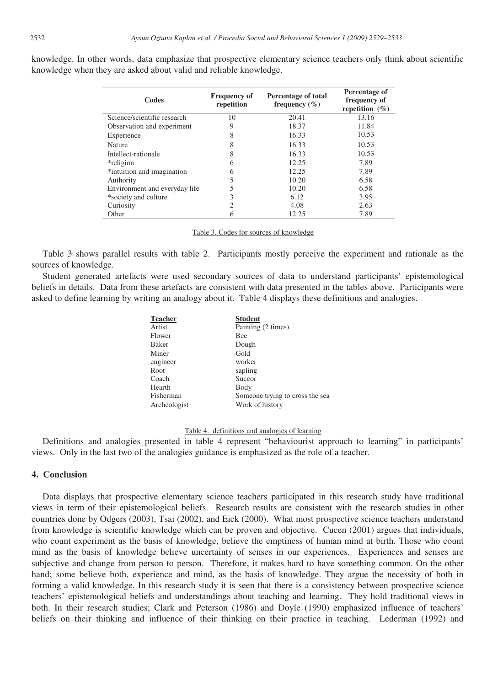| Codes                         | <b>Frequency of</b><br>repetition | Percentage of total<br>frequency $(\% )$ | Percentage of<br>frequency of<br>repetition $(\% )$ |
|-------------------------------|-----------------------------------|------------------------------------------|-----------------------------------------------------|
| Science/scientific research   | 10                                | 20.41                                    | 13.16                                               |
| Observation and experiment    | 9                                 | 18.37                                    | 11.84                                               |
| Experience                    | 8                                 | 16.33                                    | 10.53                                               |
| Nature                        | 8                                 | 16.33                                    | 10.53                                               |
| Intellect-rationale           | 8                                 | 16.33                                    | 10.53                                               |
| *religion                     | h                                 | 12.25                                    | 7.89                                                |
| *intuition and imagination    | h                                 | 12.25                                    | 7.89                                                |
| Authority                     |                                   | 10.20                                    | 6.58                                                |
| Environment and everyday life |                                   | 10.20                                    | 6.58                                                |
| *society and culture          |                                   | 6.12                                     | 3.95                                                |
| Curiosity                     |                                   | 4.08                                     | 2.63                                                |
| Other                         | n                                 | 12.25                                    | 7.89                                                |

knowledge. In other words, data emphasize that prospective elementary science teachers only think about scientific knowledge when they are asked about valid and reliable knowledge.

Table 3. Codes for sources of knowledge

Table 3 shows parallel results with table 2. Participants mostly perceive the experiment and rationale as the sources of knowledge.

Student generated artefacts were used secondary sources of data to understand participants' epistemological beliefs in details. Data from these artefacts are consistent with data presented in the tables above. Participants were asked to define learning by writing an analogy about it. Table 4 displays these definitions and analogies.

| <b>Student</b>                  |
|---------------------------------|
| Painting (2 times)              |
| Bee                             |
| Dough                           |
| Gold                            |
| worker                          |
| sapling                         |
| Succor                          |
| Body                            |
| Someone trying to cross the sea |
| Work of history                 |
|                                 |

## Table 4. definitions and analogies of learning

Definitions and analogies presented in table 4 represent "behaviourist approach to learning" in participants' views. Only in the last two of the analogies guidance is emphasized as the role of a teacher.

## **4. Conclusion**

Data displays that prospective elementary science teachers participated in this research study have traditional views in term of their epistemological beliefs. Research results are consistent with the research studies in other countries done by Odgers (2003), Tsai (2002), and Eick (2000). What most prospective science teachers understand from knowledge is scientific knowledge which can be proven and objective. Cucen (2001) argues that individuals, who count experiment as the basis of knowledge, believe the emptiness of human mind at birth. Those who count mind as the basis of knowledge believe uncertainty of senses in our experiences. Experiences and senses are subjective and change from person to person. Therefore, it makes hard to have something common. On the other hand; some believe both, experience and mind, as the basis of knowledge. They argue the necessity of both in forming a valid knowledge. In this research study it is seen that there is a consistency between prospective science teachers' epistemological beliefs and understandings about teaching and learning. They hold traditional views in both. In their research studies; Clark and Peterson (1986) and Doyle (1990) emphasized influence of teachers' beliefs on their thinking and influence of their thinking on their practice in teaching. Lederman (1992) and